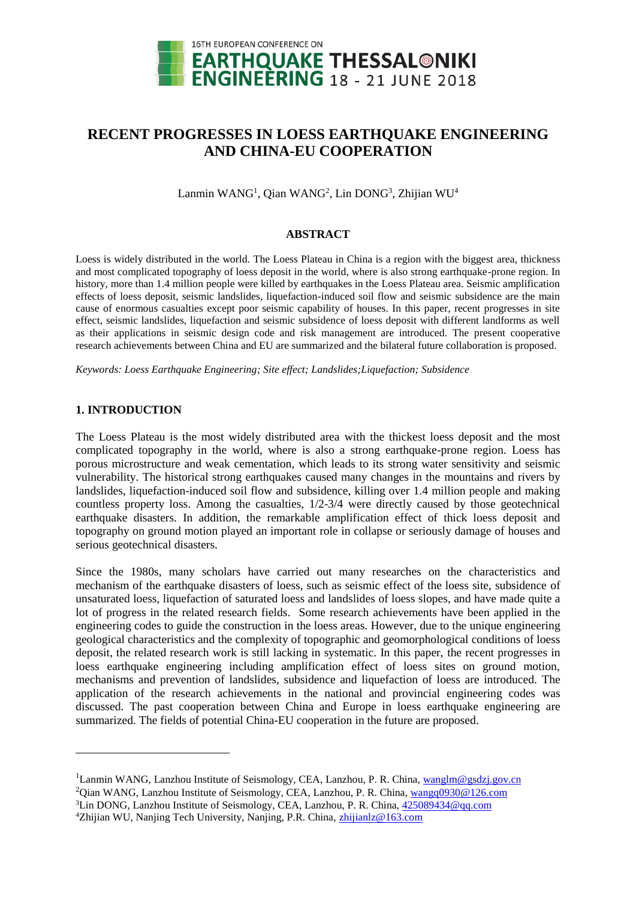

# **RECENT PROGRESSES IN LOESS EARTHQUAKE ENGINEERING AND CHINA-EU COOPERATION**

Lanmin WANG<sup>1</sup>, Qian WANG<sup>2</sup>, Lin DONG<sup>3</sup>, Zhijian WU<sup>4</sup>

#### **ABSTRACT**

Loess is widely distributed in the world. The Loess Plateau in China is a region with the biggest area, thickness and most complicated topography of loess deposit in the world, where is also strong earthquake-prone region. In history, more than 1.4 million people were killed by earthquakes in the Loess Plateau area. Seismic amplification effects of loess deposit, seismic landslides, liquefaction-induced soil flow and seismic subsidence are the main cause of enormous casualties except poor seismic capability of houses. In this paper, recent progresses in site effect, seismic landslides, liquefaction and seismic subsidence of loess deposit with different landforms as well as their applications in seismic design code and risk management are introduced. The present cooperative research achievements between China and EU are summarized and the bilateral future collaboration is proposed.

*Keywords: Loess Earthquake Engineering; Site effect; Landslides;Liquefaction; Subsidence*

# **1. INTRODUCTION**

l

The Loess Plateau is the most widely distributed area with the thickest loess deposit and the most complicated topography in the world, where is also a strong earthquake-prone region. Loess has porous microstructure and weak cementation, which leads to its strong water sensitivity and seismic vulnerability. The historical strong earthquakes caused many changes in the mountains and rivers by landslides, liquefaction-induced soil flow and subsidence, killing over 1.4 million people and making countless property loss. Among the casualties, 1/2-3/4 were directly caused by those geotechnical earthquake disasters. In addition, the remarkable amplification effect of thick loess deposit and topography on ground motion played an important role in collapse or seriously damage of houses and serious geotechnical disasters.

Since the 1980s, many scholars have carried out many researches on the characteristics and mechanism of the earthquake disasters of loess, such as seismic effect of the loess site, subsidence of unsaturated loess, liquefaction of saturated loess and landslides of loess slopes, and have made quite a lot of progress in the related research fields. Some research achievements have been applied in the engineering codes to guide the construction in the loess areas. However, due to the unique engineering geological characteristics and the complexity of topographic and geomorphological conditions of loess deposit, the related research work is still lacking in systematic. In this paper, the recent progresses in loess earthquake engineering including amplification effect of loess sites on ground motion, mechanisms and prevention of landslides, subsidence and liquefaction of loess are introduced. The application of the research achievements in the national and provincial engineering codes was discussed. The past cooperation between China and Europe in loess earthquake engineering are summarized. The fields of potential China-EU cooperation in the future are proposed.

<sup>&</sup>lt;sup>1</sup>Lanmin WANG, Lanzhou Institute of Seismology, CEA, Lanzhou, P. R. China, [wanglm@gsdzj.gov.cn](mailto:wanglm@gsdzj.gov.cn)

<sup>&</sup>lt;sup>2</sup>Qian WANG, Lanzhou Institute of Seismology, CEA, Lanzhou, P. R. China, [wangq0930@126.com](mailto:wangq0930@126.com)

<sup>3</sup>Lin DONG, Lanzhou Institute of Seismology, CEA, Lanzhou, P. R. China, [425089434@qq.com](mailto:425089434@qq.com)

<sup>4</sup>Zhijian WU, Nanjing Tech University, Nanjing, P.R. China, [zhijianlz@163.com](mailto:zhijianlz@163.com)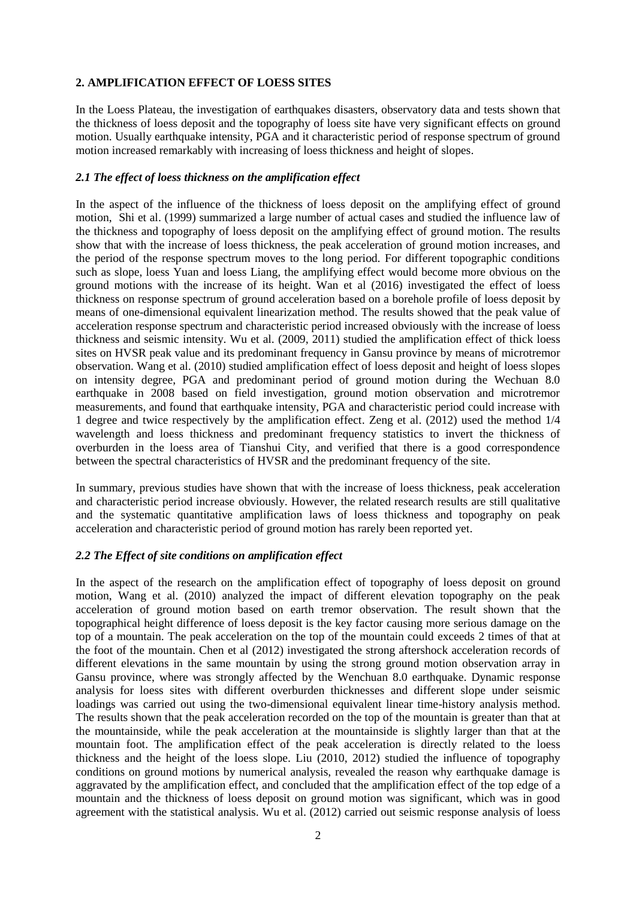# **2. AMPLIFICATION EFFECT OF LOESS SITES**

In the Loess Plateau, the investigation of earthquakes disasters, observatory data and tests shown that the thickness of loess deposit and the topography of loess site have very significant effects on ground motion. Usually earthquake intensity, PGA and it characteristic period of response spectrum of ground motion increased remarkably with increasing of loess thickness and height of slopes.

## *2.1 The effect of loess thickness on the amplification effect*

In the aspect of the influence of the thickness of loess deposit on the amplifying effect of ground motion, Shi et al. (1999) summarized a large number of actual cases and studied the influence law of the thickness and topography of loess deposit on the amplifying effect of ground motion. The results show that with the increase of loess thickness, the peak acceleration of ground motion increases, and the period of the response spectrum moves to the long period. For different topographic conditions such as slope, loess Yuan and loess Liang, the amplifying effect would become more obvious on the ground motions with the increase of its height. Wan et al (2016) investigated the effect of loess thickness on response spectrum of ground acceleration based on a borehole profile of loess deposit by means of one-dimensional equivalent linearization method. The results showed that the peak value of acceleration response spectrum and characteristic period increased obviously with the increase of loess thickness and seismic intensity. Wu et al. (2009, 2011) studied the amplification effect of thick loess sites on HVSR peak value and its predominant frequency in Gansu province by means of microtremor observation. Wang et al. (2010) studied amplification effect of loess deposit and height of loess slopes on intensity degree, PGA and predominant period of ground motion during the Wechuan 8.0 earthquake in 2008 based on field investigation, ground motion observation and microtremor measurements, and found that earthquake intensity, PGA and characteristic period could increase with 1 degree and twice respectively by the amplification effect. Zeng et al. (2012) used the method 1/4 wavelength and loess thickness and predominant frequency statistics to invert the thickness of overburden in the loess area of Tianshui City, and verified that there is a good correspondence between the spectral characteristics of HVSR and the predominant frequency of the site.

In summary, previous studies have shown that with the increase of loess thickness, peak acceleration and characteristic period increase obviously. However, the related research results are still qualitative and the systematic quantitative amplification laws of loess thickness and topography on peak acceleration and characteristic period of ground motion has rarely been reported yet.

# *2.2 The Effect of site conditions on amplification effect*

In the aspect of the research on the amplification effect of topography of loess deposit on ground motion, Wang et al. (2010) analyzed the impact of different elevation topography on the peak acceleration of ground motion based on earth tremor observation. The result shown that the topographical height difference of loess deposit is the key factor causing more serious damage on the top of a mountain. The peak acceleration on the top of the mountain could exceeds 2 times of that at the foot of the mountain. Chen et al (2012) investigated the strong aftershock acceleration records of different elevations in the same mountain by using the strong ground motion observation array in Gansu province, where was strongly affected by the Wenchuan 8.0 earthquake. Dynamic response analysis for loess sites with different overburden thicknesses and different slope under seismic loadings was carried out using the two-dimensional equivalent linear time-history analysis method. The results shown that the peak acceleration recorded on the top of the mountain is greater than that at the mountainside, while the peak acceleration at the mountainside is slightly larger than that at the mountain foot. The amplification effect of the peak acceleration is directly related to the loess thickness and the height of the loess slope. Liu (2010, 2012) studied the influence of topography conditions on ground motions by numerical analysis, revealed the reason why earthquake damage is aggravated by the amplification effect, and concluded that the amplification effect of the top edge of a mountain and the thickness of loess deposit on ground motion was significant, which was in good agreement with the statistical analysis. Wu et al. (2012) carried out seismic response analysis of loess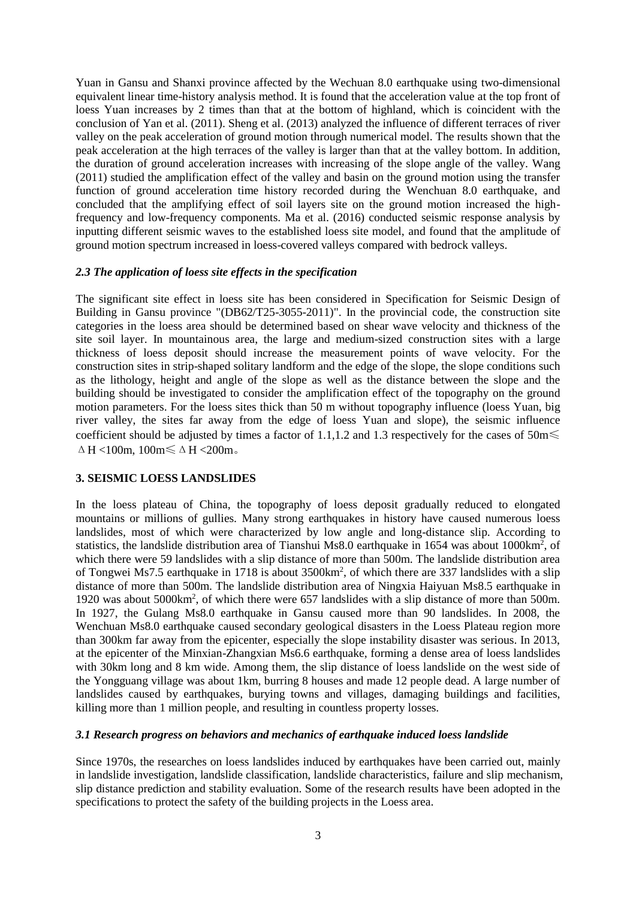Yuan in Gansu and Shanxi province affected by the Wechuan 8.0 earthquake using two-dimensional equivalent linear time-history analysis method. It is found that the acceleration value at the top front of loess Yuan increases by 2 times than that at the bottom of highland, which is coincident with the conclusion of Yan et al. (2011). Sheng et al. (2013) analyzed the influence of different terraces of river valley on the peak acceleration of ground motion through numerical model. The results shown that the peak acceleration at the high terraces of the valley is larger than that at the valley bottom. In addition, the duration of ground acceleration increases with increasing of the slope angle of the valley. Wang (2011) studied the amplification effect of the valley and basin on the ground motion using the transfer function of ground acceleration time history recorded during the Wenchuan 8.0 earthquake, and concluded that the amplifying effect of soil layers site on the ground motion increased the highfrequency and low-frequency components. Ma et al. (2016) conducted seismic response analysis by inputting different seismic waves to the established loess site model, and found that the amplitude of ground motion spectrum increased in loess-covered valleys compared with bedrock valleys.

## *2.3 The application of loess site effects in the specification*

The significant site effect in loess site has been considered in Specification for Seismic Design of Building in Gansu province "(DB62/T25-3055-2011)". In the provincial code, the construction site categories in the loess area should be determined based on shear wave velocity and thickness of the site soil layer. In mountainous area, the large and medium-sized construction sites with a large thickness of loess deposit should increase the measurement points of wave velocity. For the construction sites in strip-shaped solitary landform and the edge of the slope, the slope conditions such as the lithology, height and angle of the slope as well as the distance between the slope and the building should be investigated to consider the amplification effect of the topography on the ground motion parameters. For the loess sites thick than 50 m without topography influence (loess Yuan, big river valley, the sites far away from the edge of loess Yuan and slope), the seismic influence coefficient should be adjusted by times a factor of 1.1,1.2 and 1.3 respectively for the cases of  $50m \leq$  $\Delta H$  <100m, 100m $\leq \Delta H$  <200m.

#### **3. SEISMIC LOESS LANDSLIDES**

In the loess plateau of China, the topography of loess deposit gradually reduced to elongated mountains or millions of gullies. Many strong earthquakes in history have caused numerous loess landslides, most of which were characterized by low angle and long-distance slip. According to statistics, the landslide distribution area of Tianshui Ms8.0 earthquake in 1654 was about 1000km<sup>2</sup>, of which there were 59 landslides with a slip distance of more than 500m. The landslide distribution area of Tongwei Ms7.5 earthquake in 1718 is about 3500km<sup>2</sup>, of which there are 337 landslides with a slip distance of more than 500m. The landslide distribution area of Ningxia Haiyuan Ms8.5 earthquake in 1920 was about 5000km<sup>2</sup> , of which there were 657 landslides with a slip distance of more than 500m. In 1927, the Gulang Ms8.0 earthquake in Gansu caused more than 90 landslides. In 2008, the Wenchuan Ms8.0 earthquake caused secondary geological disasters in the Loess Plateau region more than 300km far away from the epicenter, especially the slope instability disaster was serious. In 2013, at the epicenter of the Minxian-Zhangxian Ms6.6 earthquake, forming a dense area of loess landslides with 30km long and 8 km wide. Among them, the slip distance of loess landslide on the west side of the Yongguang village was about 1km, burring 8 houses and made 12 people dead. A large number of landslides caused by earthquakes, burying towns and villages, damaging buildings and facilities, killing more than 1 million people, and resulting in countless property losses.

#### *3.1 Research progress on behaviors and mechanics of earthquake induced loess landslide*

Since 1970s, the researches on loess landslides induced by earthquakes have been carried out, mainly in landslide investigation, landslide classification, landslide characteristics, failure and slip mechanism, slip distance prediction and stability evaluation. Some of the research results have been adopted in the specifications to protect the safety of the building projects in the Loess area.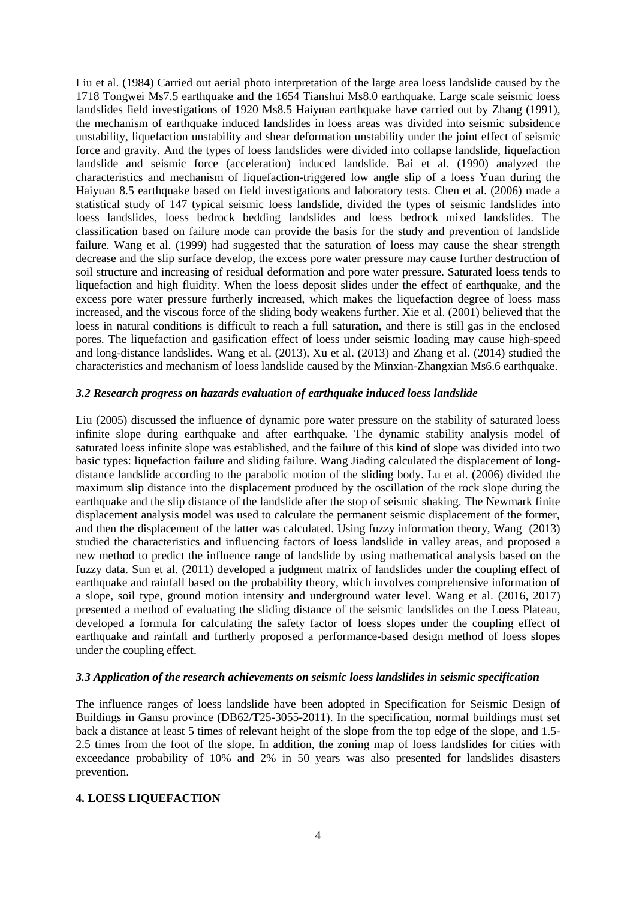Liu et al. (1984) Carried out aerial photo interpretation of the large area loess landslide caused by the 1718 Tongwei Ms7.5 earthquake and the 1654 Tianshui Ms8.0 earthquake. Large scale seismic loess landslides field investigations of 1920 Ms8.5 Haiyuan earthquake have carried out by Zhang (1991), the mechanism of earthquake induced landslides in loess areas was divided into seismic subsidence unstability, liquefaction unstability and shear deformation unstability under the joint effect of seismic force and gravity. And the types of loess landslides were divided into collapse landslide, liquefaction landslide and seismic force (acceleration) induced landslide. Bai et al. (1990) analyzed the characteristics and mechanism of liquefaction-triggered low angle slip of a loess Yuan during the Haiyuan 8.5 earthquake based on field investigations and laboratory tests. Chen et al. (2006) made a statistical study of 147 typical seismic loess landslide, divided the types of seismic landslides into loess landslides, loess bedrock bedding landslides and loess bedrock mixed landslides. The classification based on failure mode can provide the basis for the study and prevention of landslide failure. Wang et al. (1999) had suggested that the saturation of loess may cause the shear strength decrease and the slip surface develop, the excess pore water pressure may cause further destruction of soil structure and increasing of residual deformation and pore water pressure. Saturated loess tends to liquefaction and high fluidity. When the loess deposit slides under the effect of earthquake, and the excess pore water pressure furtherly increased, which makes the liquefaction degree of loess mass increased, and the viscous force of the sliding body weakens further. Xie et al. (2001) believed that the loess in natural conditions is difficult to reach a full saturation, and there is still gas in the enclosed pores. The liquefaction and gasification effect of loess under seismic loading may cause high-speed and long-distance landslides. Wang et al. (2013), Xu et al. (2013) and Zhang et al. (2014) studied the characteristics and mechanism of loess landslide caused by the Minxian-Zhangxian Ms6.6 earthquake.

# *3.2 Research progress on hazards evaluation of earthquake induced loess landslide*

Liu (2005) discussed the influence of dynamic pore water pressure on the stability of saturated loess infinite slope during earthquake and after earthquake. The dynamic stability analysis model of saturated loess infinite slope was established, and the failure of this kind of slope was divided into two basic types: liquefaction failure and sliding failure. Wang Jiading calculated the displacement of longdistance landslide according to the parabolic motion of the sliding body. Lu et al. (2006) divided the maximum slip distance into the displacement produced by the oscillation of the rock slope during the earthquake and the slip distance of the landslide after the stop of seismic shaking. The Newmark finite displacement analysis model was used to calculate the permanent seismic displacement of the former, and then the displacement of the latter was calculated. Using fuzzy information theory, Wang (2013) studied the characteristics and influencing factors of loess landslide in valley areas, and proposed a new method to predict the influence range of landslide by using mathematical analysis based on the fuzzy data. Sun et al. (2011) developed a judgment matrix of landslides under the coupling effect of earthquake and rainfall based on the probability theory, which involves comprehensive information of a slope, soil type, ground motion intensity and underground water level. Wang et al. (2016, 2017) presented a method of evaluating the sliding distance of the seismic landslides on the Loess Plateau, developed a formula for calculating the safety factor of loess slopes under the coupling effect of earthquake and rainfall and furtherly proposed a performance-based design method of loess slopes under the coupling effect.

#### *3.3 Application of the research achievements on seismic loess landslides in seismic specification*

The influence ranges of loess landslide have been adopted in Specification for Seismic Design of Buildings in Gansu province (DB62/T25-3055-2011). In the specification, normal buildings must set back a distance at least 5 times of relevant height of the slope from the top edge of the slope, and 1.5- 2.5 times from the foot of the slope. In addition, the zoning map of loess landslides for cities with exceedance probability of 10% and 2% in 50 years was also presented for landslides disasters prevention.

#### **4. LOESS LIQUEFACTION**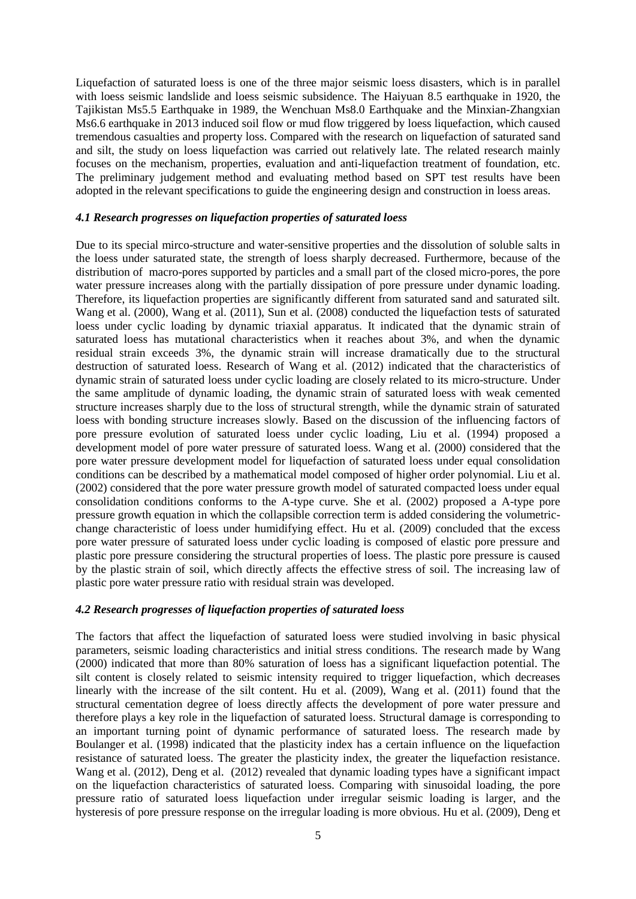Liquefaction of saturated loess is one of the three major seismic loess disasters, which is in parallel with loess seismic landslide and loess seismic subsidence. The Haiyuan 8.5 earthquake in 1920, the Tajikistan Ms5.5 Earthquake in 1989, the Wenchuan Ms8.0 Earthquake and the Minxian-Zhangxian Ms6.6 earthquake in 2013 induced soil flow or mud flow triggered by loess liquefaction, which caused tremendous casualties and property loss. Compared with the research on liquefaction of saturated sand and silt, the study on loess liquefaction was carried out relatively late. The related research mainly focuses on the mechanism, properties, evaluation and anti-liquefaction treatment of foundation, etc. The preliminary judgement method and evaluating method based on SPT test results have been adopted in the relevant specifications to guide the engineering design and construction in loess areas.

## *4.1 Research progresses on liquefaction properties of saturated loess*

Due to its special mirco-structure and water-sensitive properties and the dissolution of soluble salts in the loess under saturated state, the strength of loess sharply decreased. Furthermore, because of the distribution of macro-pores supported by particles and a small part of the closed micro-pores, the pore water pressure increases along with the partially dissipation of pore pressure under dynamic loading. Therefore, its liquefaction properties are significantly different from saturated sand and saturated silt. Wang et al. (2000), Wang et al. (2011), Sun et al. (2008) conducted the liquefaction tests of saturated loess under cyclic loading by dynamic triaxial apparatus. It indicated that the dynamic strain of saturated loess has mutational characteristics when it reaches about 3%, and when the dynamic residual strain exceeds 3%, the dynamic strain will increase dramatically due to the structural destruction of saturated loess. Research of Wang et al. (2012) indicated that the characteristics of dynamic strain of saturated loess under cyclic loading are closely related to its micro-structure. Under the same amplitude of dynamic loading, the dynamic strain of saturated loess with weak cemented structure increases sharply due to the loss of structural strength, while the dynamic strain of saturated loess with bonding structure increases slowly. Based on the discussion of the influencing factors of pore pressure evolution of saturated loess under cyclic loading, Liu et al. (1994) proposed a development model of pore water pressure of saturated loess. Wang et al. (2000) considered that the pore water pressure development model for liquefaction of saturated loess under equal consolidation conditions can be described by a mathematical model composed of higher order polynomial. Liu et al. (2002) considered that the pore water pressure growth model of saturated compacted loess under equal consolidation conditions conforms to the A-type curve. She et al. (2002) proposed a A-type pore pressure growth equation in which the collapsible correction term is added considering the volumetricchange characteristic of loess under humidifying effect. Hu et al. (2009) concluded that the excess pore water pressure of saturated loess under cyclic loading is composed of elastic pore pressure and plastic pore pressure considering the structural properties of loess. The plastic pore pressure is caused by the plastic strain of soil, which directly affects the effective stress of soil. The increasing law of plastic pore water pressure ratio with residual strain was developed.

## *4.2 Research progresses of liquefaction properties of saturated loess*

The factors that affect the liquefaction of saturated loess were studied involving in basic physical parameters, seismic loading characteristics and initial stress conditions. The research made by Wang (2000) indicated that more than 80% saturation of loess has a significant liquefaction potential. The silt content is closely related to seismic intensity required to trigger liquefaction, which decreases linearly with the increase of the silt content. Hu et al. (2009), Wang et al. (2011) found that the structural cementation degree of loess directly affects the development of pore water pressure and therefore plays a key role in the liquefaction of saturated loess. Structural damage is corresponding to an important turning point of dynamic performance of saturated loess. The research made by Boulanger et al. (1998) indicated that the plasticity index has a certain influence on the liquefaction resistance of saturated loess. The greater the plasticity index, the greater the liquefaction resistance. Wang et al. (2012), Deng et al. (2012) revealed that dynamic loading types have a significant impact on the liquefaction characteristics of saturated loess. Comparing with sinusoidal loading, the pore pressure ratio of saturated loess liquefaction under irregular seismic loading is larger, and the hysteresis of pore pressure response on the irregular loading is more obvious. Hu et al. (2009), Deng et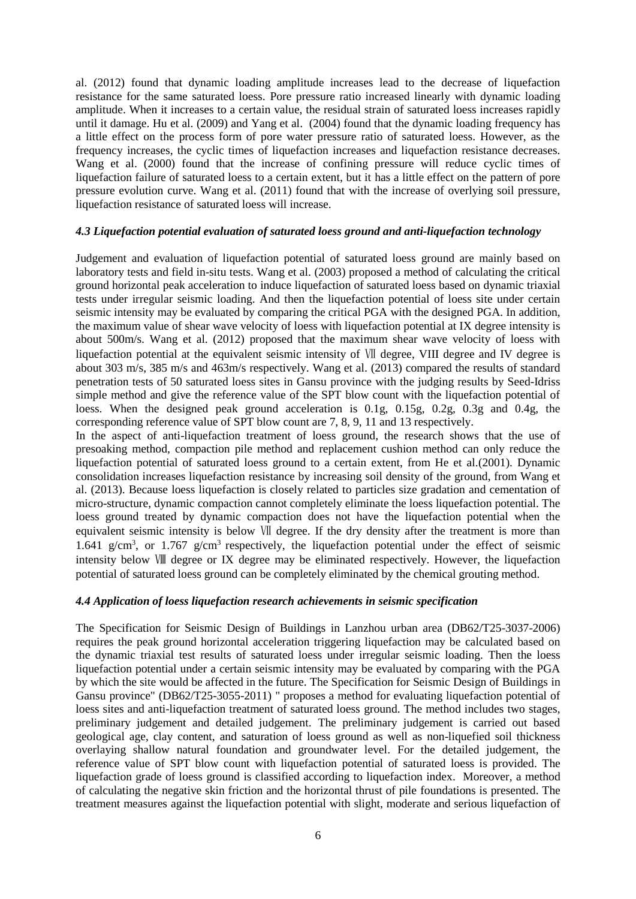al. (2012) found that dynamic loading amplitude increases lead to the decrease of liquefaction resistance for the same saturated loess. Pore pressure ratio increased linearly with dynamic loading amplitude. When it increases to a certain value, the residual strain of saturated loess increases rapidly until it damage. Hu et al. (2009) and Yang et al. (2004) found that the dynamic loading frequency has a little effect on the process form of pore water pressure ratio of saturated loess. However, as the frequency increases, the cyclic times of liquefaction increases and liquefaction resistance decreases. Wang et al. (2000) found that the increase of confining pressure will reduce cyclic times of liquefaction failure of saturated loess to a certain extent, but it has a little effect on the pattern of pore pressure evolution curve. Wang et al. (2011) found that with the increase of overlying soil pressure, liquefaction resistance of saturated loess will increase.

## *4.3 Liquefaction potential evaluation of saturated loess ground and anti-liquefaction technology*

Judgement and evaluation of liquefaction potential of saturated loess ground are mainly based on laboratory tests and field in-situ tests. Wang et al. (2003) proposed a method of calculating the critical ground horizontal peak acceleration to induce liquefaction of saturated loess based on dynamic triaxial tests under irregular seismic loading. And then the liquefaction potential of loess site under certain seismic intensity may be evaluated by comparing the critical PGA with the designed PGA. In addition, the maximum value of shear wave velocity of loess with liquefaction potential at IX degree intensity is about 500m/s. Wang et al. (2012) proposed that the maximum shear wave velocity of loess with liquefaction potential at the equivalent seismic intensity of Ⅶ degree, VIII degree and IV degree is about 303 m/s, 385 m/s and 463m/s respectively. Wang et al. (2013) compared the results of standard penetration tests of 50 saturated loess sites in Gansu province with the judging results by Seed-Idriss simple method and give the reference value of the SPT blow count with the liquefaction potential of loess. When the designed peak ground acceleration is 0.1g, 0.15g, 0.2g, 0.3g and 0.4g, the corresponding reference value of SPT blow count are 7, 8, 9, 11 and 13 respectively.

In the aspect of anti-liquefaction treatment of loess ground, the research shows that the use of presoaking method, compaction pile method and replacement cushion method can only reduce the liquefaction potential of saturated loess ground to a certain extent, from He et al.(2001). Dynamic consolidation increases liquefaction resistance by increasing soil density of the ground, from Wang et al. (2013). Because loess liquefaction is closely related to particles size gradation and cementation of micro-structure, dynamic compaction cannot completely eliminate the loess liquefaction potential. The loess ground treated by dynamic compaction does not have the liquefaction potential when the equivalent seismic intensity is below Ⅶ degree. If the dry density after the treatment is more than 1.641 g/cm<sup>3</sup>, or 1.767 g/cm<sup>3</sup> respectively, the liquefaction potential under the effect of seismic intensity below Ⅷ degree or IX degree may be eliminated respectively. However, the liquefaction potential of saturated loess ground can be completely eliminated by the chemical grouting method.

# *4.4 Application of loess liquefaction research achievements in seismic specification*

The Specification for Seismic Design of Buildings in Lanzhou urban area (DB62/T25-3037-2006) requires the peak ground horizontal acceleration triggering liquefaction may be calculated based on the dynamic triaxial test results of saturated loess under irregular seismic loading. Then the loess liquefaction potential under a certain seismic intensity may be evaluated by comparing with the PGA by which the site would be affected in the future. The Specification for Seismic Design of Buildings in Gansu province" (DB62/T25-3055-2011) " proposes a method for evaluating liquefaction potential of loess sites and anti-liquefaction treatment of saturated loess ground. The method includes two stages, preliminary judgement and detailed judgement. The preliminary judgement is carried out based geological age, clay content, and saturation of loess ground as well as non-liquefied soil thickness overlaying shallow natural foundation and groundwater level. For the detailed judgement, the reference value of SPT blow count with liquefaction potential of saturated loess is provided. The liquefaction grade of loess ground is classified according to liquefaction index. Moreover, a method of calculating the negative skin friction and the horizontal thrust of pile foundations is presented. The treatment measures against the liquefaction potential with slight, moderate and serious liquefaction of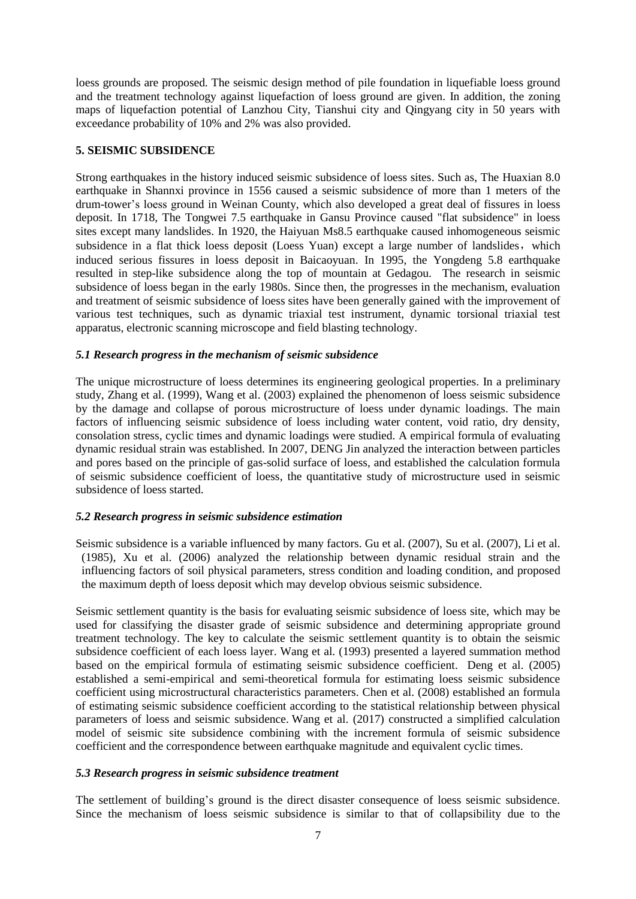loess grounds are proposed. The seismic design method of pile foundation in liquefiable loess ground and the treatment technology against liquefaction of loess ground are given. In addition, the zoning maps of liquefaction potential of Lanzhou City, Tianshui city and Qingyang city in 50 years with exceedance probability of 10% and 2% was also provided.

# **5. SEISMIC SUBSIDENCE**

Strong earthquakes in the history induced seismic subsidence of loess sites. Such as, The Huaxian 8.0 earthquake in Shannxi province in 1556 caused a seismic subsidence of more than 1 meters of the drum-tower's loess ground in Weinan County, which also developed a great deal of fissures in loess deposit. In 1718, The Tongwei 7.5 earthquake in Gansu Province caused "flat subsidence" in loess sites except many landslides. In 1920, the Haiyuan Ms8.5 earthquake caused inhomogeneous seismic subsidence in a flat thick loess deposit (Loess Yuan) except a large number of landslides, which induced serious fissures in loess deposit in Baicaoyuan. In 1995, the Yongdeng 5.8 earthquake resulted in step-like subsidence along the top of mountain at Gedagou. The research in seismic subsidence of loess began in the early 1980s. Since then, the progresses in the mechanism, evaluation and treatment of seismic subsidence of loess sites have been generally gained with the improvement of various test techniques, such as dynamic triaxial test instrument, dynamic torsional triaxial test apparatus, electronic scanning microscope and field blasting technology.

# *5.1 Research progress in the mechanism of seismic subsidence*

The unique microstructure of loess determines its engineering geological properties. In a preliminary study, Zhang et al. (1999), Wang et al. (2003) explained the phenomenon of loess seismic subsidence by the damage and collapse of porous microstructure of loess under dynamic loadings. The main factors of influencing seismic subsidence of loess including water content, void ratio, dry density, consolation stress, cyclic times and dynamic loadings were studied. A empirical formula of evaluating dynamic residual strain was established. In 2007, DENG Jin analyzed the interaction between particles and pores based on the principle of gas-solid surface of loess, and established the calculation formula of seismic subsidence coefficient of loess, the quantitative study of microstructure used in seismic subsidence of loess started.

# *5.2 Research progress in seismic subsidence estimation*

Seismic subsidence is a variable influenced by many factors. Gu et al. (2007), Su et al. (2007), Li et al. (1985), Xu et al. (2006) analyzed the relationship between dynamic residual strain and the influencing factors of soil physical parameters, stress condition and loading condition, and proposed the maximum depth of loess deposit which may develop obvious seismic subsidence.

Seismic settlement quantity is the basis for evaluating seismic subsidence of loess site, which may be used for classifying the disaster grade of seismic subsidence and determining appropriate ground treatment technology. The key to calculate the seismic settlement quantity is to obtain the seismic subsidence coefficient of each loess layer. Wang et al. (1993) presented a layered summation method based on the empirical formula of estimating seismic subsidence coefficient. Deng et al. (2005) established a semi-empirical and semi-theoretical formula for estimating loess seismic subsidence coefficient using microstructural characteristics parameters. Chen et al. (2008) established an formula of estimating seismic subsidence coefficient according to the statistical relationship between physical parameters of loess and seismic subsidence. Wang et al. (2017) constructed a simplified calculation model of seismic site subsidence combining with the increment formula of seismic subsidence coefficient and the correspondence between earthquake magnitude and equivalent cyclic times.

# *5.3 Research progress in seismic subsidence treatment*

The settlement of building's ground is the direct disaster consequence of loess seismic subsidence. Since the mechanism of loess seismic subsidence is similar to that of collapsibility due to the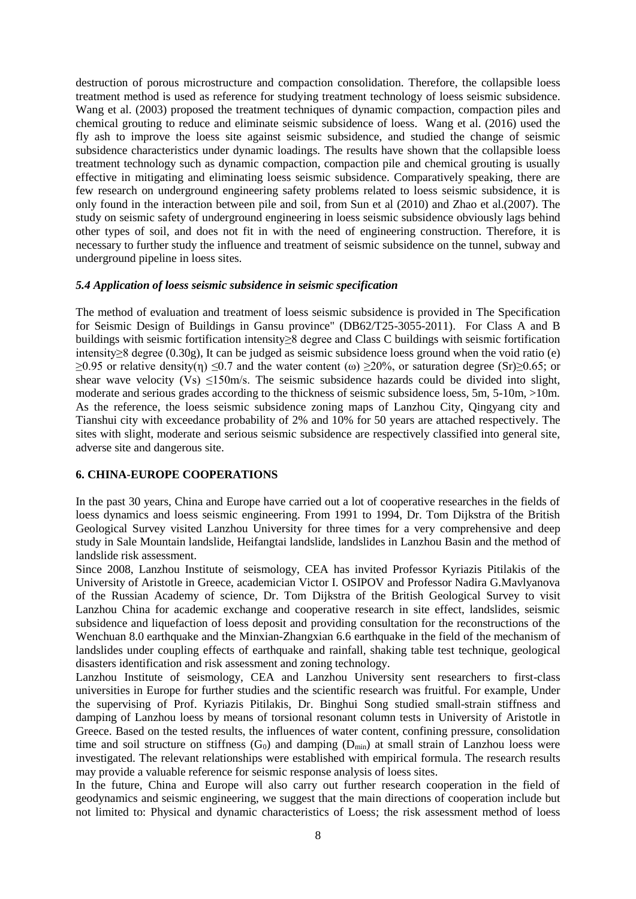destruction of porous microstructure and compaction consolidation. Therefore, the collapsible loess treatment method is used as reference for studying treatment technology of loess seismic subsidence. Wang et al. (2003) proposed the treatment techniques of dynamic compaction, compaction piles and chemical grouting to reduce and eliminate seismic subsidence of loess. Wang et al. (2016) used the fly ash to improve the loess site against seismic subsidence, and studied the change of seismic subsidence characteristics under dynamic loadings. The results have shown that the collapsible loess treatment technology such as dynamic compaction, compaction pile and chemical grouting is usually effective in mitigating and eliminating loess seismic subsidence. Comparatively speaking, there are few research on underground engineering safety problems related to loess seismic subsidence, it is only found in the interaction between pile and soil, from Sun et al (2010) and Zhao et al.(2007). The study on seismic safety of underground engineering in loess seismic subsidence obviously lags behind other types of soil, and does not fit in with the need of engineering construction. Therefore, it is necessary to further study the influence and treatment of seismic subsidence on the tunnel, subway and underground pipeline in loess sites.

#### *5.4 Application of loess seismic subsidence in seismic specification*

The method of evaluation and treatment of loess seismic subsidence is provided in The Specification for Seismic Design of Buildings in Gansu province" (DB62/T25-3055-2011). For Class A and B buildings with seismic fortification intensity≥8 degree and Class C buildings with seismic fortification intensity≥8 degree (0.30g), It can be judged as seismic subsidence loess ground when the void ratio (e) ≥0.95 or relative density(η) ≤0.7 and the water content (ω) ≥20%, or saturation degree (Sr)≥0.65; or shear wave velocity  $(Vs) \le 150$  m/s. The seismic subsidence hazards could be divided into slight, moderate and serious grades according to the thickness of seismic subsidence loess, 5m, 5-10m, >10m. As the reference, the loess seismic subsidence zoning maps of Lanzhou City, Qingyang city and Tianshui city with exceedance probability of 2% and 10% for 50 years are attached respectively. The sites with slight, moderate and serious seismic subsidence are respectively classified into general site, adverse site and dangerous site.

## **6. CHINA-EUROPE COOPERATIONS**

In the past 30 years, China and Europe have carried out a lot of cooperative researches in the fields of loess dynamics and loess seismic engineering. From 1991 to 1994, Dr. Tom Dijkstra of the British Geological Survey visited Lanzhou University for three times for a very comprehensive and deep study in Sale Mountain landslide, Heifangtai landslide, landslides in Lanzhou Basin and the method of landslide risk assessment.

Since 2008, Lanzhou Institute of seismology, CEA has invited Professor Kyriazis Pitilakis of the University of Aristotle in Greece, academician Victor I. OSIPOV and Professor Nadira G.Mavlyanova of the Russian Academy of science, Dr. Tom Dijkstra of the British Geological Survey to visit Lanzhou China for academic exchange and cooperative research in site effect, landslides, seismic subsidence and liquefaction of loess deposit and providing consultation for the reconstructions of the Wenchuan 8.0 earthquake and the Minxian-Zhangxian 6.6 earthquake in the field of the mechanism of landslides under coupling effects of earthquake and rainfall, shaking table test technique, geological disasters identification and risk assessment and zoning technology.

Lanzhou Institute of seismology, CEA and Lanzhou University sent researchers to first-class universities in Europe for further studies and the scientific research was fruitful. For example, Under the supervising of Prof. Kyriazis Pitilakis, Dr. Binghui Song studied small-strain stiffness and damping of Lanzhou loess by means of torsional resonant column tests in University of Aristotle in Greece. Based on the tested results, the influences of water content, confining pressure, consolidation time and soil structure on stiffness  $(G_0)$  and damping  $(D_{min})$  at small strain of Lanzhou loess were investigated. The relevant relationships were established with empirical formula. The research results may provide a valuable reference for seismic response analysis of loess sites.

In the future, China and Europe will also carry out further research cooperation in the field of geodynamics and seismic engineering, we suggest that the main directions of cooperation include but not limited to: Physical and dynamic characteristics of Loess; the risk assessment method of loess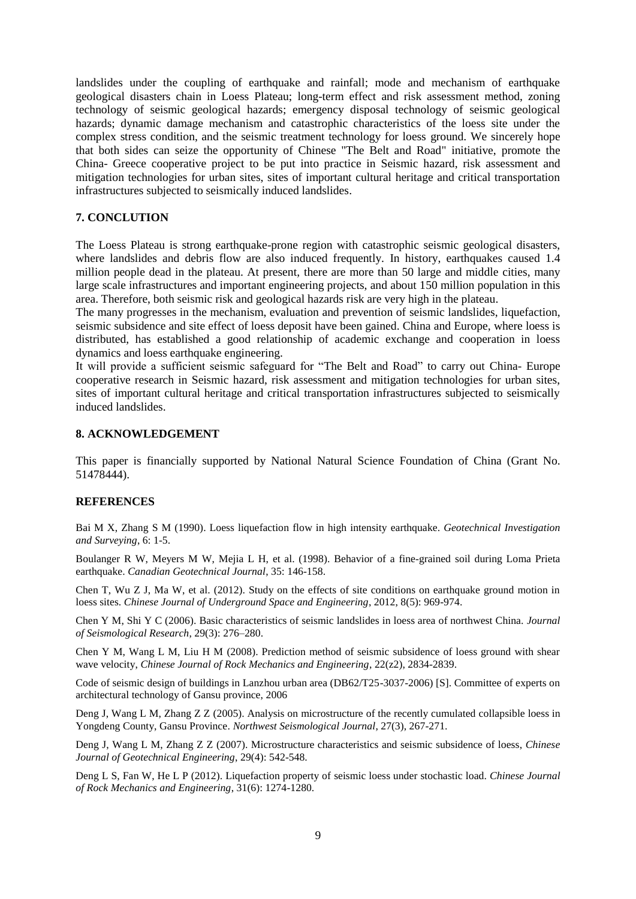landslides under the coupling of earthquake and rainfall; mode and mechanism of earthquake geological disasters chain in Loess Plateau; long-term effect and risk assessment method, zoning technology of seismic geological hazards; emergency disposal technology of seismic geological hazards; dynamic damage mechanism and catastrophic characteristics of the loess site under the complex stress condition, and the seismic treatment technology for loess ground. We sincerely hope that both sides can seize the opportunity of Chinese "The Belt and Road" initiative, promote the China- Greece cooperative project to be put into practice in Seismic hazard, risk assessment and mitigation technologies for urban sites, sites of important cultural heritage and critical transportation infrastructures subjected to seismically induced landslides.

## **7. CONCLUTION**

The Loess Plateau is strong earthquake-prone region with catastrophic seismic geological disasters, where landslides and debris flow are also induced frequently. In history, earthquakes caused 1.4 million people dead in the plateau. At present, there are more than 50 large and middle cities, many large scale infrastructures and important engineering projects, and about 150 million population in this area. Therefore, both seismic risk and geological hazards risk are very high in the plateau.

The many progresses in the mechanism, evaluation and prevention of seismic landslides, liquefaction, seismic subsidence and site effect of loess deposit have been gained. China and Europe, where loess is distributed, has established a good relationship of academic exchange and cooperation in loess dynamics and loess earthquake engineering.

It will provide a sufficient seismic safeguard for "The Belt and Road" to carry out China- Europe cooperative research in Seismic hazard, risk assessment and mitigation technologies for urban sites, sites of important cultural heritage and critical transportation infrastructures subjected to seismically induced landslides.

## **8. ACKNOWLEDGEMENT**

This paper is financially supported by National Natural Science Foundation of China (Grant No. 51478444).

#### **REFERENCES**

Bai M X, Zhang S M (1990). Loess liquefaction flow in high intensity earthquake. *Geotechnical Investigation and Surveying*, 6: 1-5.

Boulanger R W, Meyers M W, Mejia L H, et al. (1998). Behavior of a fine-grained soil during Loma Prieta earthquake. *Canadian Geotechnical Journal*, 35: 146-158.

Chen T, Wu Z J, Ma W, et al. (2012). Study on the effects of site conditions on earthquake ground motion in loess sites. *Chinese Journal of Underground Space and Engineering*, 2012, 8(5): 969-974.

Chen Y M, Shi Y C (2006). Basic characteristics of seismic landslides in loess area of northwest China. *Journal of Seismological Research*, 29(3): 276–280.

Chen Y M, Wang L M, Liu H M (2008). Prediction method of seismic subsidence of loess ground with shear wave velocity, *Chinese Journal of Rock Mechanics and Engineering*, 22(z2), 2834-2839.

Code of seismic design of buildings in Lanzhou urban area (DB62/T25-3037-2006) [S]. Committee of experts on architectural technology of Gansu province, 2006

Deng J, Wang L M, Zhang Z Z (2005). Analysis on microstructure of the recently cumulated collapsible loess in Yongdeng County, Gansu Province. *[Northwest Seismological Journal](http://c.wanfangdata.com.cn/Periodical-xbdzxb.aspx)*, 27(3), 267-271.

Deng J, Wang L M, Zhang Z Z (2007). Microstructure characteristics and seismic subsidence of loess, *Chinese Journal of Geotechnical Engineering*, 29(4): 542-548.

Deng L S, Fan W, He L P (2012). Liquefaction property of seismic loess under stochastic load. *Chinese Journal of Rock Mechanics and Engineering*, 31(6): 1274-1280.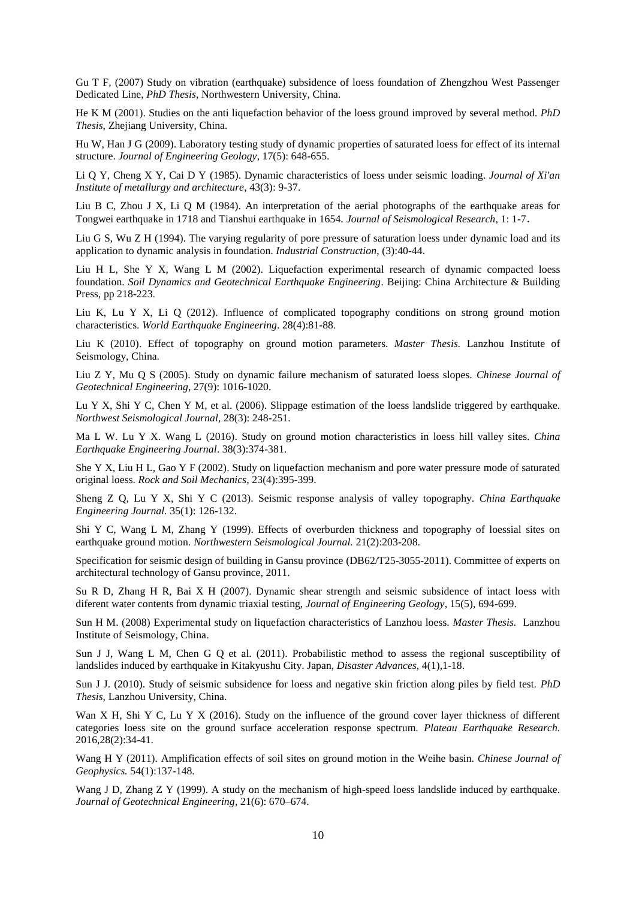Gu T F, (2007) Study on vibration (earthquake) subsidence of loess foundation of Zhengzhou West Passenger Dedicated Line, *PhD Thesis*, Northwestern University, China.

He K M (2001). Studies on the anti liquefaction behavior of the loess ground improved by several method. *PhD Thesis*, Zhejiang University, China.

Hu W, Han J G (2009). Laboratory testing study of dynamic properties of saturated loess for effect of its internal structure. *Journal of Engineering Geology*, 17(5): 648-655.

Li Q Y, Cheng X Y, Cai D Y (1985). Dynamic characteristics of loess under seismic loading. *Journal of Xi'an Institute of metallurgy and architecture*, 43(3): 9-37.

Liu B C, Zhou J X, Li Q M (1984). An interpretation of the aerial photographs of the earthquake areas for Tongwei earthquake in 1718 and Tianshui earthquake in 1654. *Journal of Seismological Research*, 1: 1-7.

Liu G S, Wu Z H (1994). The varying regularity of pore pressure of saturation loess under dynamic load and its application to dynamic analysis in foundation. *Industrial Construction*, (3):40-44.

Liu H L, She Y X, Wang L M (2002). Liquefaction experimental research of dynamic compacted loess foundation. *Soil Dynamics and Geotechnical Earthquake Engineering*. Beijing: China Architecture & Building Press, pp 218-223.

Liu K, Lu Y X, Li Q (2012). Influence of complicated topography conditions on strong ground motion characteristics. *World Earthquake Engineering*. 28(4):81-88.

Liu K (2010). Effect of topography on ground motion parameters. *Master Thesis.* Lanzhou Institute of Seismology, China.

Liu Z Y, Mu Q S (2005). Study on dynamic failure mechanism of saturated loess slopes. *Chinese Journal of Geotechnical Engineering*, 27(9): 1016-1020.

Lu Y X, Shi Y C, Chen Y M, et al. (2006). Slippage estimation of the loess landslide triggered by earthquake. *Northwest Seismological Journal*, 28(3): 248-251.

Ma L W. Lu Y X. Wang L (2016). Study on ground motion characteristics in loess hill valley sites. *China Earthquake Engineering Journal*. 38(3):374-381.

She Y X, Liu H L, Gao Y F (2002). Study on liquefaction mechanism and pore water pressure mode of saturated original loess. *Rock and Soil Mechanics*, 23(4):395-399.

Sheng Z Q, Lu Y X, Shi Y C (2013). Seismic response analysis of valley topography. *China Earthquake Engineering Journal.* 35(1): 126-132.

Shi Y C, Wang L M, Zhang Y (1999). Effects of overburden thickness and topography of loessial sites on earthquake ground motion. *Northwestern Seismological Journal.* 21(2):203-208.

Specification for seismic design of building in Gansu province (DB62/T25-3055-2011). Committee of experts on architectural technology of Gansu province, 2011.

Su R D, Zhang H R, Bai X H (2007). Dynamic shear strength and seismic subsidence of intact loess with diferent water contents from dynamic triaxial testing, *[Journal of Engineering Geology](http://c.wanfangdata.com.cn/Periodical-gcdzxb.aspx)*, 15(5), 694-699.

Sun H M. (2008) [Experimental](app:ds:experimental) [study](app:ds:study) on liquefaction characteristics of Lanzhou loess. *Master Thesis.* Lanzhou Institute of Seismology, China.

Sun J J, Wang L M, Chen G Q et al. (2011). Probabilistic method to assess the regional susceptibility of landslides induced by earthquake in Kitakyushu City. Japan, *Disaster Advances*, 4(1),1-18.

Sun J J. (2010). Study of seismic subsidence for loess and negative skin friction along piles by field test. *PhD Thesis*, Lanzhou University, China.

Wan X H, Shi Y C, Lu Y X (2016). Study on the influence of the ground cover layer thickness of different categories loess site on the ground surface acceleration response spectrum. *Plateau Earthquake Research.* 2016,28(2):34-41.

Wang H Y (2011). Amplification effects of soil sites on ground motion in the Weihe basin. *Chinese Journal of Geophysics.* 54(1):137-148.

Wang J D, Zhang Z Y (1999). A study on the mechanism of high-speed loess landslide induced by earthquake. *Journal of Geotechnical Engineering*, 21(6): 670–674.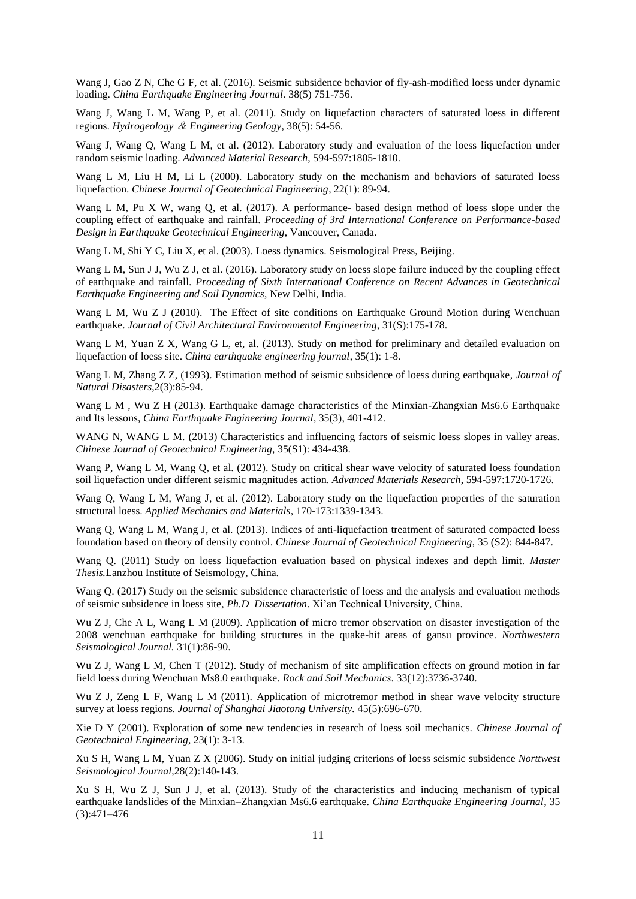Wang J, Gao Z N, Che G F, et al. (2016). Seismic subsidence behavior of fly-ash-modified loess under dynamic loading. *[China Earthquake Engineering Journal](http://c.wanfangdata.com.cn/Periodical-xbdzxb.aspx)*. 38(5) 751-756.

Wang J, Wang L M, Wang P, et al. (2011). Study on liquefaction characters of saturated loess in different regions. *Hydrogeology* & *Engineering Geology*, 38(5): 54-56.

Wang J, Wang Q, Wang L M, et al. (2012). Laboratory study and evaluation of the loess liquefaction under random seismic loading. *Advanced Material Research*, 594-597:1805-1810.

Wang L M, Liu H M, Li L (2000). Laboratory study on the mechanism and behaviors of saturated loess liquefaction. *Chinese Journal of Geotechnical Engineering*, 22(1): 89-94.

Wang L M, Pu X W, wang Q, et al. (2017). A performance- based design method of loess slope under the coupling effect of earthquake and rainfall. *Proceeding of 3rd International Conference on Performance-based Design in Earthquake Geotechnical Engineering*, Vancouver, Canada.

Wang L M, Shi Y C, Liu X, et al. (2003). Loess dynamics. Seismological Press, Beijing.

Wang L M, Sun J J, Wu Z J, et al. (2016). Laboratory study on loess slope failure induced by the coupling effect of earthquake and rainfall. *Proceeding of Sixth International Conference on Recent Advances in Geotechnical Earthquake Engineering and Soil Dynamics*, New Delhi, India.

Wang L M, Wu Z J (2010). The Effect of site conditions on Earthquake Ground Motion during Wenchuan earthquake. *Journal of Civil Architectural Environmental Engineering*, 31(S):175-178.

Wang L M, Yuan Z X, Wang G L, et, al. (2013). Study on method for preliminary and detailed evaluation on liquefaction of loess site. *China earthquake engineering journal*, 35(1): 1-8.

Wang L M, Zhang Z Z, (1993). Estimation method of seismic subsidence of loess during earthquake, *Journal of Natural Disasters*,2(3):85-94.

Wang L M, Wu Z H (2013). Earthquake damage characteristics of the Minxian-Zhangxian Ms6.6 Earthquake and Its lessons, *China Earthquake Engineering Journal*, 35(3), 401-412.

WANG N, WANG L M. (2013) Characteristics and influencing factors of seismic loess slopes in valley areas*. Chinese Journal of Geotechnical Engineering*, 35(S1): 434-438.

Wang P, Wang L M, Wang Q, et al. (2012). Study on critical shear wave velocity of saturated loess foundation soil liquefaction under different seismic magnitudes action. *Advanced Materials Research*, 594-597:1720-1726.

Wang Q, Wang L M, Wang J, et al. (2012). Laboratory study on the liquefaction properties of the saturation structural loess. *Applied Mechanics and Materials,* 170-173:1339-1343.

Wang Q, Wang L M, Wang J, et al. (2013). Indices of anti-liquefaction treatment of saturated compacted loess foundation based on theory of density control. *Chinese Journal of Geotechnical Engineering*, 35 (S2): 844-847.

Wang Q. (2011) Study on loess liquefaction evaluation based on physical indexes and depth limit. *Master Thesis.*Lanzhou Institute of Seismology, China.

Wang Q. (2017) Study on the seismic subsidence characteristic of loess and the analysis and evaluation methods of seismic subsidence in loess site, *Ph.D Dissertation*. Xi'an Technical University, China.

Wu Z J, Che A L, Wang L M (2009). Application of micro tremor observation on disaster investigation of the 2008 wenchuan earthquake for building structures in the quake-hit areas of gansu province. *Northwestern Seismological Journal.* 31(1):86-90.

Wu Z J, Wang L M, Chen T (2012). Study of mechanism of site amplification effects on ground motion in far field loess during Wenchuan Ms8.0 earthquake. *Rock and Soil Mechanics*. 33(12):3736-3740.

Wu Z J, Zeng L F, Wang L M (2011). Application of microtremor method in shear wave velocity structure survey at loess regions. *Journal of Shanghai Jiaotong University.* 45(5):696-670.

Xie D Y (2001). Exploration of some new tendencies in research of loess soil mechanics. *Chinese Journal of Geotechnical Engineering*, 23(1): 3-13.

Xu S H, Wang L M, Yuan Z X (2006). Study on initial judging criterions of loess seismic subsidence *[Norttwest](http://c.wanfangdata.com.cn/Periodical-xbdzxb.aspx)  [Seismological Journal](http://c.wanfangdata.com.cn/Periodical-xbdzxb.aspx)*,28(2):140-143.

Xu S H, Wu Z J, Sun J J, et al. (2013). Study of the characteristics and inducing mechanism of typical earthquake landslides of the Minxian–Zhangxian Ms6.6 earthquake. *China Earthquake Engineering Journal*, 35  $(3):471-476$